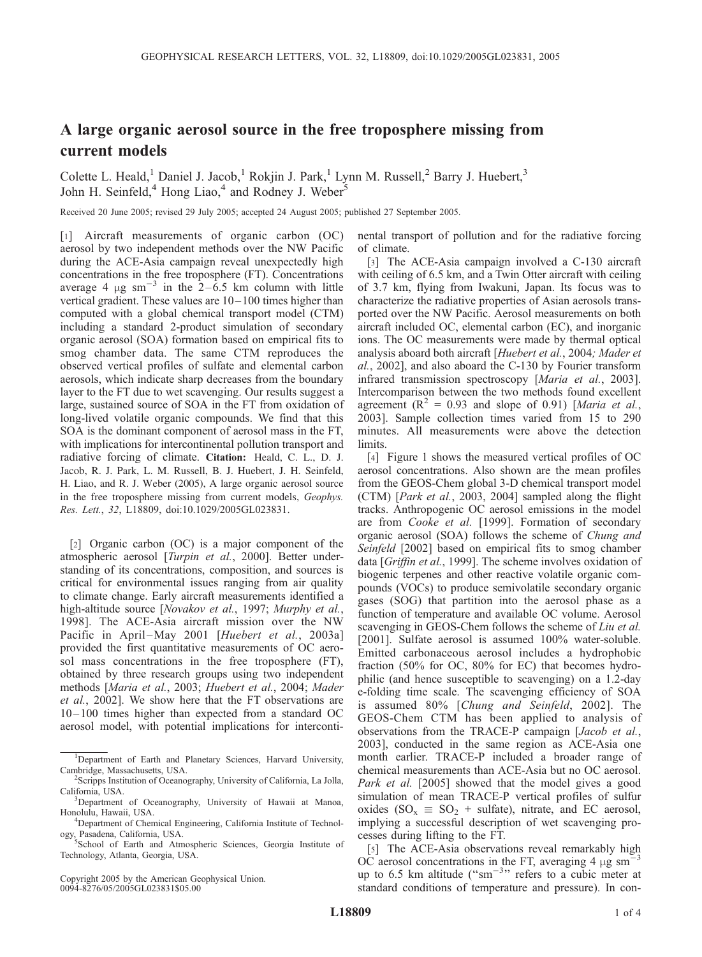## A large organic aerosol source in the free troposphere missing from current models

Colette L. Heald,<sup>1</sup> Daniel J. Jacob,<sup>1</sup> Rokjin J. Park,<sup>1</sup> Lynn M. Russell,<sup>2</sup> Barry J. Huebert,<sup>3</sup> John H. Seinfeld,<sup>4</sup> Hong Liao,<sup>4</sup> and Rodney J. Weber<sup>5</sup>

Received 20 June 2005; revised 29 July 2005; accepted 24 August 2005; published 27 September 2005.

[1] Aircraft measurements of organic carbon (OC) aerosol by two independent methods over the NW Pacific during the ACE-Asia campaign reveal unexpectedly high concentrations in the free troposphere (FT). Concentrations average 4  $\mu$ g sm<sup>-3</sup> in the 2-6.5 km column with little vertical gradient. These values are  $10-100$  times higher than computed with a global chemical transport model (CTM) including a standard 2-product simulation of secondary organic aerosol (SOA) formation based on empirical fits to smog chamber data. The same CTM reproduces the observed vertical profiles of sulfate and elemental carbon aerosols, which indicate sharp decreases from the boundary layer to the FT due to wet scavenging. Our results suggest a large, sustained source of SOA in the FT from oxidation of long-lived volatile organic compounds. We find that this SOA is the dominant component of aerosol mass in the FT, with implications for intercontinental pollution transport and radiative forcing of climate. Citation: Heald, C. L., D. J. Jacob, R. J. Park, L. M. Russell, B. J. Huebert, J. H. Seinfeld, H. Liao, and R. J. Weber (2005), A large organic aerosol source in the free troposphere missing from current models, Geophys. Res. Lett., 32, L18809, doi:10.1029/2005GL023831.

[2] Organic carbon (OC) is a major component of the atmospheric aerosol [Turpin et al., 2000]. Better understanding of its concentrations, composition, and sources is critical for environmental issues ranging from air quality to climate change. Early aircraft measurements identified a high-altitude source [Novakov et al., 1997; Murphy et al., 1998]. The ACE-Asia aircraft mission over the NW Pacific in April–May 2001 [Huebert et al., 2003a] provided the first quantitative measurements of OC aerosol mass concentrations in the free troposphere (FT), obtained by three research groups using two independent methods [Maria et al., 2003; Huebert et al., 2004; Mader et al., 2002]. We show here that the FT observations are 10– 100 times higher than expected from a standard OC aerosol model, with potential implications for interconti-

Copyright 2005 by the American Geophysical Union. 0094-8276/05/2005GL023831\$05.00

nental transport of pollution and for the radiative forcing of climate.

[3] The ACE-Asia campaign involved a C-130 aircraft with ceiling of 6.5 km, and a Twin Otter aircraft with ceiling of 3.7 km, flying from Iwakuni, Japan. Its focus was to characterize the radiative properties of Asian aerosols transported over the NW Pacific. Aerosol measurements on both aircraft included OC, elemental carbon (EC), and inorganic ions. The OC measurements were made by thermal optical analysis aboard both aircraft [Huebert et al., 2004; Mader et al., 2002], and also aboard the C-130 by Fourier transform infrared transmission spectroscopy [Maria et al., 2003]. Intercomparison between the two methods found excellent agreement  $(R^2 = 0.93$  and slope of 0.91) [Maria et al., 2003]. Sample collection times varied from 15 to 290 minutes. All measurements were above the detection limits.

[4] Figure 1 shows the measured vertical profiles of OC aerosol concentrations. Also shown are the mean profiles from the GEOS-Chem global 3-D chemical transport model (CTM) [Park et al., 2003, 2004] sampled along the flight tracks. Anthropogenic OC aerosol emissions in the model are from Cooke et al. [1999]. Formation of secondary organic aerosol (SOA) follows the scheme of Chung and Seinfeld [2002] based on empirical fits to smog chamber data [Griffin et al., 1999]. The scheme involves oxidation of biogenic terpenes and other reactive volatile organic compounds (VOCs) to produce semivolatile secondary organic gases (SOG) that partition into the aerosol phase as a function of temperature and available OC volume. Aerosol scavenging in GEOS-Chem follows the scheme of Liu et al. [2001]. Sulfate aerosol is assumed 100% water-soluble. Emitted carbonaceous aerosol includes a hydrophobic fraction (50% for OC, 80% for EC) that becomes hydrophilic (and hence susceptible to scavenging) on a 1.2-day e-folding time scale. The scavenging efficiency of SOA is assumed 80% [Chung and Seinfeld, 2002]. The GEOS-Chem CTM has been applied to analysis of observations from the TRACE-P campaign [Jacob et al., 2003], conducted in the same region as ACE-Asia one month earlier. TRACE-P included a broader range of chemical measurements than ACE-Asia but no OC aerosol. Park et al. [2005] showed that the model gives a good simulation of mean TRACE-P vertical profiles of sulfur oxides (SO<sub>x</sub>  $\equiv$  SO<sub>2</sub> + sulfate), nitrate, and EC aerosol, implying a successful description of wet scavenging processes during lifting to the FT.

[5] The ACE-Asia observations reveal remarkably high OC aerosol concentrations in the FT, averaging 4  $\mu$ g sm<sup>-3</sup> up to 6.5 km altitude (" $\text{sm}^{-3}$ " refers to a cubic meter at standard conditions of temperature and pressure). In con-

<sup>&</sup>lt;sup>1</sup>Department of Earth and Planetary Sciences, Harvard University, Cambridge, Massachusetts, USA. <sup>2</sup>

Scripps Institution of Oceanography, University of California, La Jolla, California, USA.

<sup>&</sup>lt;sup>3</sup>Department of Oceanography, University of Hawaii at Manoa, Honolulu, Hawaii, USA. <sup>4</sup>

<sup>&</sup>lt;sup>4</sup>Department of Chemical Engineering, California Institute of Technol-

ogy, Pasadena, California, USA. <sup>5</sup> School of Earth and Atmospheric Sciences, Georgia Institute of Technology, Atlanta, Georgia, USA.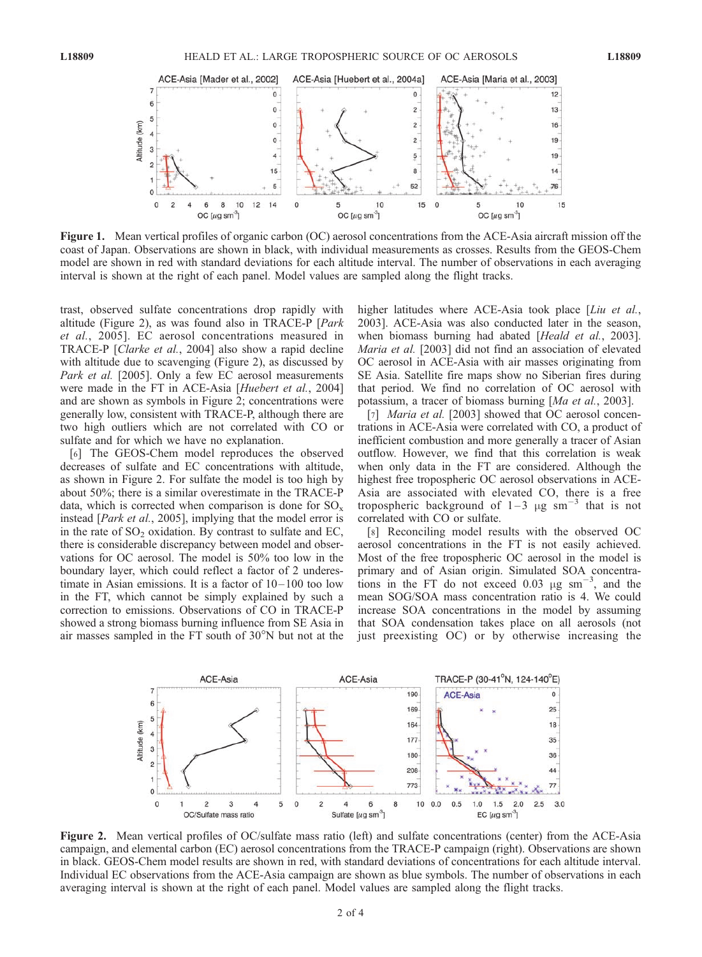

Figure 1. Mean vertical profiles of organic carbon (OC) aerosol concentrations from the ACE-Asia aircraft mission off the coast of Japan. Observations are shown in black, with individual measurements as crosses. Results from the GEOS-Chem model are shown in red with standard deviations for each altitude interval. The number of observations in each averaging interval is shown at the right of each panel. Model values are sampled along the flight tracks.

trast, observed sulfate concentrations drop rapidly with altitude (Figure 2), as was found also in TRACE-P [Park et al., 2005]. EC aerosol concentrations measured in TRACE-P [Clarke et al., 2004] also show a rapid decline with altitude due to scavenging (Figure 2), as discussed by Park et al. [2005]. Only a few EC aerosol measurements were made in the FT in ACE-Asia [Huebert et al., 2004] and are shown as symbols in Figure 2; concentrations were generally low, consistent with TRACE-P, although there are two high outliers which are not correlated with CO or sulfate and for which we have no explanation.

[6] The GEOS-Chem model reproduces the observed decreases of sulfate and EC concentrations with altitude, as shown in Figure 2. For sulfate the model is too high by about 50%; there is a similar overestimate in the TRACE-P data, which is corrected when comparison is done for  $SO_x$ instead [Park et al., 2005], implying that the model error is in the rate of  $SO_2$  oxidation. By contrast to sulfate and EC, there is considerable discrepancy between model and observations for OC aerosol. The model is 50% too low in the boundary layer, which could reflect a factor of 2 underestimate in Asian emissions. It is a factor of 10–100 too low in the FT, which cannot be simply explained by such a correction to emissions. Observations of CO in TRACE-P showed a strong biomass burning influence from SE Asia in air masses sampled in the FT south of  $30^{\circ}$ N but not at the

higher latitudes where ACE-Asia took place [Liu et al., 2003]. ACE-Asia was also conducted later in the season, when biomass burning had abated [Heald et al., 2003]. Maria et al. [2003] did not find an association of elevated OC aerosol in ACE-Asia with air masses originating from SE Asia. Satellite fire maps show no Siberian fires during that period. We find no correlation of OC aerosol with potassium, a tracer of biomass burning [Ma et al., 2003].

[7] *Maria et al.* [2003] showed that OC aerosol concentrations in ACE-Asia were correlated with CO, a product of inefficient combustion and more generally a tracer of Asian outflow. However, we find that this correlation is weak when only data in the FT are considered. Although the highest free tropospheric OC aerosol observations in ACE-Asia are associated with elevated CO, there is a free tropospheric background of  $1-3 \mu$ g sm<sup>-3</sup> that is not correlated with CO or sulfate.

[8] Reconciling model results with the observed OC aerosol concentrations in the FT is not easily achieved. Most of the free tropospheric OC aerosol in the model is primary and of Asian origin. Simulated SOA concentrations in the FT do not exceed 0.03  $\mu$ g sm<sup>-3</sup>, and the mean SOG/SOA mass concentration ratio is 4. We could increase SOA concentrations in the model by assuming that SOA condensation takes place on all aerosols (not just preexisting OC) or by otherwise increasing the



Figure 2. Mean vertical profiles of OC/sulfate mass ratio (left) and sulfate concentrations (center) from the ACE-Asia campaign, and elemental carbon (EC) aerosol concentrations from the TRACE-P campaign (right). Observations are shown in black. GEOS-Chem model results are shown in red, with standard deviations of concentrations for each altitude interval. Individual EC observations from the ACE-Asia campaign are shown as blue symbols. The number of observations in each averaging interval is shown at the right of each panel. Model values are sampled along the flight tracks.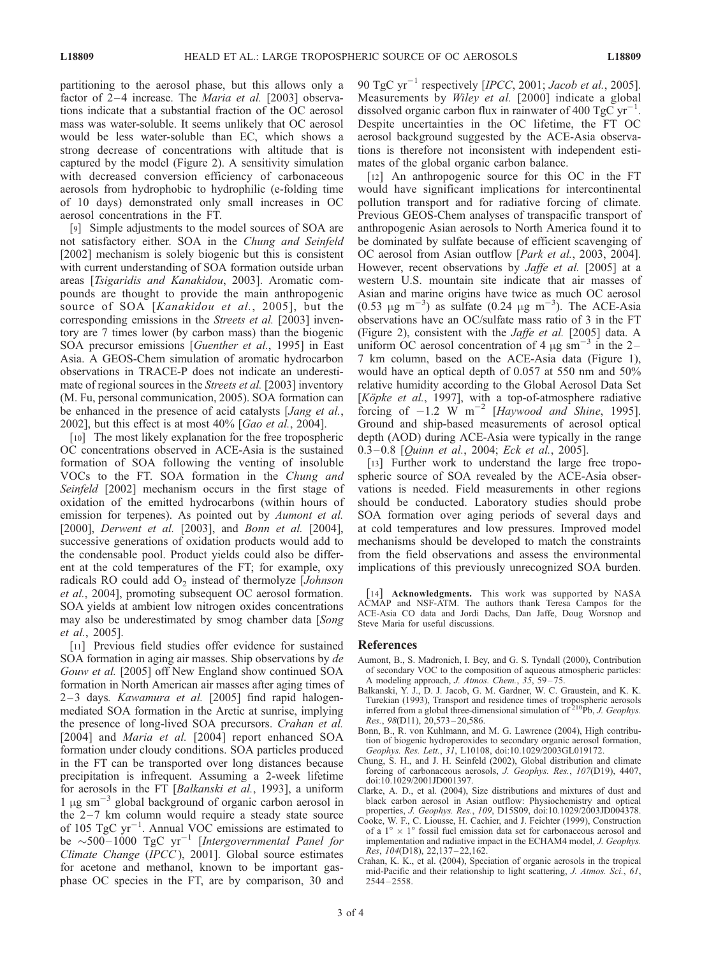partitioning to the aerosol phase, but this allows only a factor of  $2-4$  increase. The *Maria et al.* [2003] observations indicate that a substantial fraction of the OC aerosol mass was water-soluble. It seems unlikely that OC aerosol would be less water-soluble than EC, which shows a strong decrease of concentrations with altitude that is captured by the model (Figure 2). A sensitivity simulation with decreased conversion efficiency of carbonaceous aerosols from hydrophobic to hydrophilic (e-folding time of 10 days) demonstrated only small increases in OC aerosol concentrations in the FT.

[9] Simple adjustments to the model sources of SOA are not satisfactory either. SOA in the Chung and Seinfeld [2002] mechanism is solely biogenic but this is consistent with current understanding of SOA formation outside urban areas [Tsigaridis and Kanakidou, 2003]. Aromatic compounds are thought to provide the main anthropogenic source of SOA [Kanakidou et al., 2005], but the corresponding emissions in the Streets et al. [2003] inventory are 7 times lower (by carbon mass) than the biogenic SOA precursor emissions [Guenther et al., 1995] in East Asia. A GEOS-Chem simulation of aromatic hydrocarbon observations in TRACE-P does not indicate an underestimate of regional sources in the *Streets et al.* [2003] inventory (M. Fu, personal communication, 2005). SOA formation can be enhanced in the presence of acid catalysts [*Jang et al.*, 2002], but this effect is at most 40% [Gao et al., 2004].

[10] The most likely explanation for the free tropospheric OC concentrations observed in ACE-Asia is the sustained formation of SOA following the venting of insoluble VOCs to the FT. SOA formation in the Chung and Seinfeld [2002] mechanism occurs in the first stage of oxidation of the emitted hydrocarbons (within hours of emission for terpenes). As pointed out by Aumont et al. [2000], *Derwent et al.* [2003], and *Bonn et al.* [2004], successive generations of oxidation products would add to the condensable pool. Product yields could also be different at the cold temperatures of the FT; for example, oxy radicals RO could add  $O_2$  instead of thermolyze [Johnson et al., 2004], promoting subsequent OC aerosol formation. SOA yields at ambient low nitrogen oxides concentrations may also be underestimated by smog chamber data [Song] et al., 2005].

[11] Previous field studies offer evidence for sustained SOA formation in aging air masses. Ship observations by de Gouw et al. [2005] off New England show continued SOA formation in North American air masses after aging times of  $2-3$  days. *Kawamura et al.* [2005] find rapid halogenmediated SOA formation in the Arctic at sunrise, implying the presence of long-lived SOA precursors. Crahan et al. [2004] and *Maria et al.* [2004] report enhanced SOA formation under cloudy conditions. SOA particles produced in the FT can be transported over long distances because precipitation is infrequent. Assuming a 2-week lifetime for aerosols in the FT [Balkanski et al., 1993], a uniform 1  $\mu$ g sm<sup>-3</sup> global background of organic carbon aerosol in the  $2-7$  km column would require a steady state source of 105 TgC  $yr^{-1}$ . Annual VOC emissions are estimated to be  $\sim$ 500–1000 TgC yr<sup>-1</sup> [Intergovernmental Panel for Climate Change (IPCC ), 2001]. Global source estimates for acetone and methanol, known to be important gasphase OC species in the FT, are by comparison, 30 and

90 TgC yr<sup>-1</sup> respectively [IPCC, 2001; Jacob et al., 2005]. Measurements by *Wiley et al.* [2000] indicate a global dissolved organic carbon flux in rainwater of 400 TgC  $yr^{-1}$ . Despite uncertainties in the OC lifetime, the FT OC aerosol background suggested by the ACE-Asia observations is therefore not inconsistent with independent estimates of the global organic carbon balance.

[12] An anthropogenic source for this OC in the FT would have significant implications for intercontinental pollution transport and for radiative forcing of climate. Previous GEOS-Chem analyses of transpacific transport of anthropogenic Asian aerosols to North America found it to be dominated by sulfate because of efficient scavenging of OC aerosol from Asian outflow [Park et al., 2003, 2004]. However, recent observations by *Jaffe et al.* [2005] at a western U.S. mountain site indicate that air masses of Asian and marine origins have twice as much OC aerosol (0.53  $\mu$ g m<sup>-3</sup>) as sulfate (0.24  $\mu$ g m<sup>-3</sup>). The ACE-Asia observations have an OC/sulfate mass ratio of 3 in the FT (Figure 2), consistent with the Jaffe et al. [2005] data. A uniform OC aerosol concentration of 4  $\mu$ g sm<sup>-3</sup> in the 2-7 km column, based on the ACE-Asia data (Figure 1), would have an optical depth of 0.057 at 550 nm and 50% relative humidity according to the Global Aerosol Data Set [ $K\ddot{o}pke$  *et al.*, 1997], with a top-of-atmosphere radiative forcing of  $-1.2$  W m<sup>-2</sup> [Haywood and Shine, 1995]. Ground and ship-based measurements of aerosol optical depth (AOD) during ACE-Asia were typically in the range 0.3–0.8 [*Ouinn et al., 2004; Eck et al., 2005*].

[13] Further work to understand the large free tropospheric source of SOA revealed by the ACE-Asia observations is needed. Field measurements in other regions should be conducted. Laboratory studies should probe SOA formation over aging periods of several days and at cold temperatures and low pressures. Improved model mechanisms should be developed to match the constraints from the field observations and assess the environmental implications of this previously unrecognized SOA burden.

[14] Acknowledgments. This work was supported by NASA ACMAP and NSF-ATM. The authors thank Teresa Campos for the ACE-Asia CO data and Jordi Dachs, Dan Jaffe, Doug Worsnop and Steve Maria for useful discussions.

## References

- Aumont, B., S. Madronich, I. Bey, and G. S. Tyndall (2000), Contribution of secondary VOC to the composition of aqueous atmospheric particles: A modeling approach, J. Atmos. Chem., 35, 59 – 75.
- Balkanski, Y. J., D. J. Jacob, G. M. Gardner, W. C. Graustein, and K. K. Turekian (1993), Transport and residence times of tropospheric aerosols inferred from a global three-dimensional simulation of <sup>210</sup>Pb, *J. Geophys.* Res., 98(D11), 20,573 – 20,586.
- Bonn, B., R. von Kuhlmann, and M. G. Lawrence (2004), High contribution of biogenic hydroperoxides to secondary organic aerosol formation, Geophys. Res. Lett., 31, L10108, doi:10.1029/2003GL019172.
- Chung, S. H., and J. H. Seinfeld (2002), Global distribution and climate forcing of carbonaceous aerosols, J. Geophys. Res., 107(D19), 4407, doi:10.1029/2001JD001397.
- Clarke, A. D., et al. (2004), Size distributions and mixtures of dust and black carbon aerosol in Asian outflow: Physiochemistry and optical properties, *J. Geophys. Res.*, 109, D15S09, doi:10.1029/2003JD004378.
- Cooke, W. F., C. Liousse, H. Cachier, and J. Feichter (1999), Construction of a  $1^{\circ} \times 1^{\circ}$  fossil fuel emission data set for carbonaceous aerosol and implementation and radiative impact in the ECHAM4 model, J. Geophys. Res, 104(D18), 22,137 – 22,162.
- Crahan, K. K., et al. (2004), Speciation of organic aerosols in the tropical mid-Pacific and their relationship to light scattering, J. Atmos. Sci., 61, 2544 – 2558.